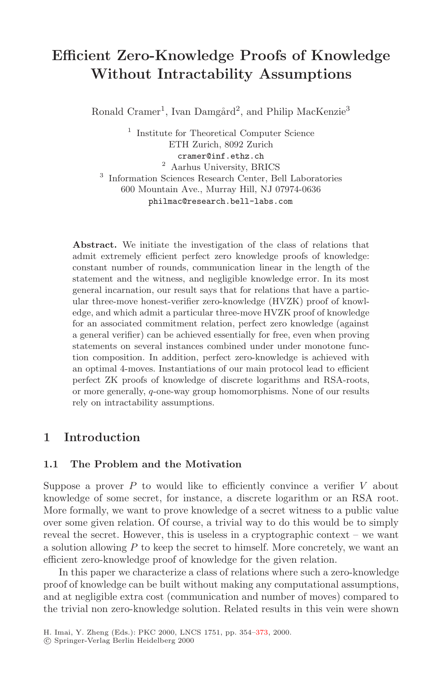# <span id="page-0-0"></span>**Efficient Zero-Knowledge Proofs of Knowledge Without Intractability Assumptions**

Ronald Cramer<sup>1</sup>, Ivan Damgård<sup>2</sup>, and Philip MacKenzie<sup>3</sup>

<sup>1</sup> Institute for Theoretical Computer Science ETH Zurich, 8092 Zurich cramer@inf.ethz.ch <sup>2</sup> Aarhus University, BRICS <sup>3</sup> Information Sciences Research Center, Bell Laboratories 600 Mountain Ave., Murray Hill, NJ 07974-0636 philmac@research.bell-labs.com

**Abstract.** We initiate the investigation of the class of relations that admit extremely efficient perfect zero knowledge proofs of knowledge: constant number of rounds, communication linear in the length of the statement and the witness, and negligible knowledge error. In its most general incarnation, our result says that for relations that have a particular three-move honest-verifier zero-knowledge (HVZK) proof of knowledge, and which admit a particular three-move HVZK proof of knowledge for an associated commitment relation, perfect zero knowledge (against a general verifier) can be achieved essentially for free, even when proving statements on several instances combined under under monotone function composition. In addition, perfect zero-knowledge is achieved with an optimal 4-moves. Instantiations of our main protocol lead to efficient perfect ZK proofs of knowledge of discrete logarithms and RSA-roots, or more generally, q-one-way group homomorphisms. None of our results rely on intractability assumptions.

### **1 Introduction**

#### **1.1 The Problem and the Motivation**

Suppose a prover  $P$  to would like to efficiently convince a verifier  $V$  about knowledge of some secret, for instance, a discrete logarithm or an RSA root. More formally, we want to prove knowledge of a secret witness to a public value over some given relation. Of course, a trivial way to do this would be to simply reveal the secret. However, this is useless in a cryptographic context – we want a solution allowing P to keep the secret to himself. More concretely, we want an efficient zero-knowledge proof of knowledge for the given relation.

In this paper we characterize a class of relations where such a zero-knowledge proof of knowledge can be built without making any computational assumptions, and at negligible extra cost (communication and number of moves) compared to the trivial non zero-knowledge solution. Related results in this vein were shown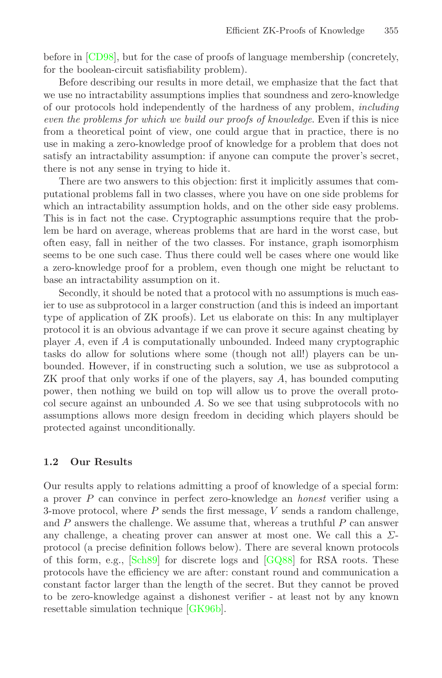<span id="page-1-0"></span>before in [\[CD98\]](#page-14-0), but for the case of proofs of language membership (concretely, for the boolean-circuit satisfiability problem).

Before describing our results in more detail, we emphasize that the fact that we use no intractability assumptions implies that soundness and zero-knowledge of our protocols hold independently of the hardness of any problem, including even the problems for which we build our proofs of knowledge. Even if this is nice from a theoretical point of view, one could argue that in practice, there is no use in making a zero-knowledge proof of knowledge for a problem that does not satisfy an intractability assumption: if anyone can compute the prover's secret, there is not any sense in trying to hide it.

There are two answers to this objection: first it implicitly assumes that computational problems fall in two classes, where you have on one side problems for which an intractability assumption holds, and on the other side easy problems. This is in fact not the case. Cryptographic assumptions require that the problem be hard on average, whereas problems that are hard in the worst case, but often easy, fall in neither of the two classes. For instance, graph isomorphism seems to be one such case. Thus there could well be cases where one would like a zero-knowledge proof for a problem, even though one might be reluctant to base an intractability assumption on it.

Secondly, it should be noted that a protocol with no assumptions is much easier to use as subprotocol in a larger construction (and this is indeed an important type of application of ZK proofs). Let us elaborate on this: In any multiplayer protocol it is an obvious advantage if we can prove it secure against cheating by player A, even if A is computationally unbounded. Indeed many cryptographic tasks do allow for solutions where some (though not all!) players can be unbounded. However, if in constructing such a solution, we use as subprotocol a ZK proof that only works if one of the players, say A, has bounded computing power, then nothing we build on top will allow us to prove the overall protocol secure against an unbounded A. So we see that using subprotocols with no assumptions allows more design freedom in deciding which players should be protected against unconditionally.

#### **1.2 Our Results**

Our results apply to relations admitting a proof of knowledge of a special form: a prover P can convince in perfect zero-knowledge an honest verifier using a 3-move protocol, where  $P$  sends the first message,  $V$  sends a random challenge, and  $P$  answers the challenge. We assume that, whereas a truthful  $P$  can answer any challenge, a cheating prover can answer at most one. We call this a  $\Sigma$ protocol (a precise definition follows below). There are several known protocols of this form, e.g., [\[Sch89\]](#page-15-0) for discrete logs and [\[GQ88\]](#page-15-1) for RSA roots. These protocols have the efficiency we are after: constant round and communication a constant factor larger than the length of the secret. But they cannot be proved to be zero-knowledge against a dishonest verifier - at least not by any known resettable simulation technique [\[GK96b\]](#page-15-2).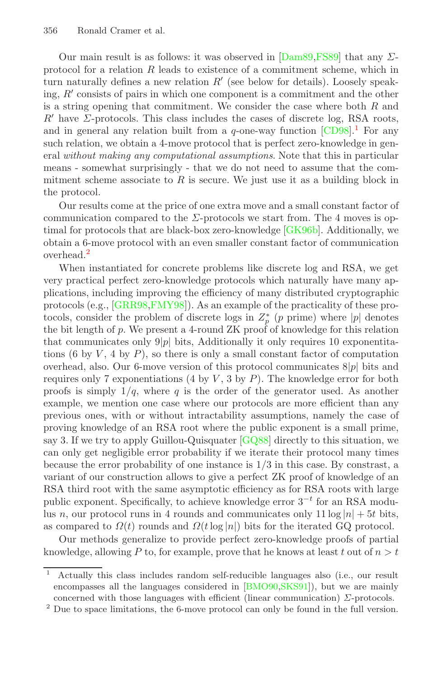<span id="page-2-2"></span>Our main result is as follows: it was observed in  $|\text{Dam89,FS89}|$  $|\text{Dam89,FS89}|$  $|\text{Dam89,FS89}|$  that any  $\Sigma$ protocol for a relation  $R$  leads to existence of a commitment scheme, which in turn naturally defines a new relation  $R'$  (see below for details). Loosely speaking,  $R'$  consists of pairs in which one component is a commitment and the other is a string opening that commitment. We consider the case where both  $R$  and  $R'$  have  $\Sigma$ -protocols. This class includes the cases of discrete log, RSA roots, and in general any relation built from a  $q$ -one-way function  $\lceil CD98 \rceil$ <sup>[1](#page-2-0)</sup>. For any such relation, we obtain a 4-move protocol that is perfect zero-knowledge in general without making any computational assumptions. Note that this in particular means - somewhat surprisingly - that we do not need to assume that the commitment scheme associate to  $R$  is secure. We just use it as a building block in the protocol.

Our results come at the price of one extra move and a small constant factor of communication compared to the  $\Sigma$ -protocols we start from. The 4 moves is optimal for protocols that are black-box zero-knowledge [\[GK96b\]](#page-15-2). Additionally, we obtain a 6-move protocol with an even smaller constant factor of communication overhead.[2](#page-2-1)

When instantiated for concrete problems like discrete log and RSA, we get very practical perfect zero-knowledge protocols which naturally have many applications, including improving the efficiency of many distributed cryptographic protocols (e.g., [\[GRR98](#page-15-4)[,FMY98](#page-15-5)]). As an example of the practicality of these protocols, consider the problem of discrete logs in  $Z_p^*$  (p prime) where |p| denotes the bit length of p. We present a 4-round ZK proof of knowledge for this relation that communicates only  $9|p|$  bits, Additionally it only requires 10 exponentitations (6 by  $V$ , 4 by  $P$ ), so there is only a small constant factor of computation overhead, also. Our 6-move version of this protocol communicates  $8|p|$  bits and requires only 7 exponentiations  $(4 \text{ by } V, 3 \text{ by } P)$ . The knowledge error for both proofs is simply  $1/q$ , where q is the order of the generator used. As another example, we mention one case where our protocols are more efficient than any previous ones, with or without intractability assumptions, namely the case of proving knowledge of an RSA root where the public exponent is a small prime, say 3. If we try to apply Guillou-Quisquater [\[GQ88\]](#page-15-1) directly to this situation, we can only get negligible error probability if we iterate their protocol many times because the error probability of one instance is 1/3 in this case. By constrast, a variant of our construction allows to give a perfect ZK proof of knowledge of an RSA third root with the same asymptotic efficiency as for RSA roots with large public exponent. Specifically, to achieve knowledge error  $3^{-t}$  for an RSA modulus n, our protocol runs in 4 rounds and communicates only  $11 \log |n| + 5t$  bits, as compared to  $\Omega(t)$  rounds and  $\Omega(t \log |n|)$  bits for the iterated GQ protocol.

Our methods generalize to provide perfect zero-knowledge proofs of partial knowledge, allowing P to, for example, prove that he knows at least t out of  $n>t$ 

<span id="page-2-0"></span><sup>1</sup> Actually this class includes random self-reducible languages also (i.e., our result encompasses all the languages considered in [\[BMO90](#page-14-2)[,SKS91\]](#page-15-6)), but we are mainly concerned with those languages with efficient (linear communication)  $\Sigma$ -protocols.

<span id="page-2-1"></span> $2$  Due to space limitations, the 6-move protocol can only be found in the full version.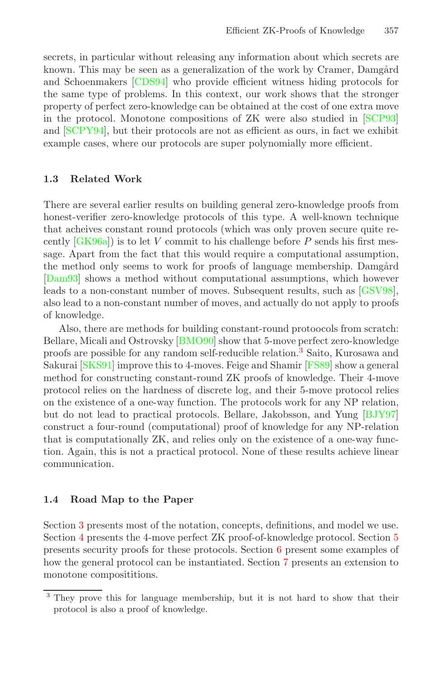<span id="page-3-1"></span>secrets, in particular without releasing any information about which secrets are known. This may be seen as a generalization of the work by Cramer, Damgård and Schoenmakers [\[CDS94\]](#page-14-3) who provide efficient witness hiding protocols for the same type of problems. In this context, our work shows that the stronger property of perfect zero-knowledge can be obtained at the cost of one extra move in the protocol. Monotone compositions of ZK were also studied in [\[SCP93\]](#page-15-7) and [\[SCPY94\]](#page-15-8), but their protocols are not as efficient as ours, in fact we exhibit example cases, where our protocols are super polynomially more efficient.

#### **1.3 Related Work**

There are several earlier results on building general zero-knowledge proofs from honest-verifier zero-knowledge protocols of this type. A well-known technique that acheives constant round protocols (which was only proven secure quite recently  $(GK96a)$  is to let V commit to his challenge before P sends his first message. Apart from the fact that this would require a computational assumption, the method only seems to work for proofs of language membership. Damgård [\[Dam93](#page-15-10)] shows a method without computational assumptions, which however leads to a non-constant number of moves. Subsequent results, such as [\[GSV98\]](#page-15-11), also lead to a non-constant number of moves, and actually do not apply to proofs of knowledge.

Also, there are methods for building constant-round protoocols from scratch: Bellare, Micali and Ostrovsky [\[BMO90](#page-14-2)] show that 5-move perfect zero-knowledge proofs are possible for any random self-reducible relation.[3](#page-3-0) Saito, Kurosawa and Sakurai [\[SKS91\]](#page-15-6) improve this to 4-moves. Feige and Shamir [\[FS89\]](#page-15-3) show a general method for constructing constant-round ZK proofs of knowledge. Their 4-move protocol relies on the hardness of discrete log, and their 5-move protocol relies on the existence of a one-way function. The protocols work for any NP relation, but do not lead to practical protocols. Bellare, Jakobsson, and Yung [\[BJY97\]](#page-14-4) construct a four-round (computational) proof of knowledge for any NP-relation that is computationally ZK, and relies only on the existence of a one-way function. Again, this is not a practical protocol. None of these results achieve linear communication.

#### **1.4 Road Map to the Paper**

Section [3](#page-4-0) presents most of the notation, concepts, definitions, and model we use. Section [4](#page-7-0) presents the 4-move perfect ZK proof-of-knowledge protocol. Section [5](#page-9-0) presents security proofs for these protocols. Section [6](#page-9-1) present some examples of how the general protocol can be instantiated. Section [7](#page-12-0) presents an extension to monotone composititions.

<span id="page-3-0"></span>They prove this for language membership, but it is not hard to show that their protocol is also a proof of knowledge.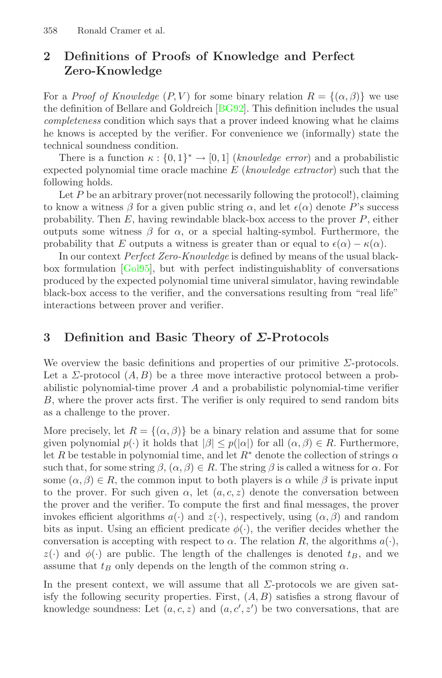## <span id="page-4-1"></span>**2 Definitions of Proofs of Knowledge and Perfect Zero-Knowledge**

For a *Proof of Knowledge*  $(P, V)$  for some binary relation  $R = \{(\alpha, \beta)\}\$ we use the definition of Bellare and Goldreich [\[BG92\]](#page-14-5). This definition includes the usual completeness condition which says that a prover indeed knowing what he claims he knows is accepted by the verifier. For convenience we (informally) state the technical soundness condition.

There is a function  $\kappa : \{0,1\}^* \to [0,1]$  (*knowledge error*) and a probabilistic expected polynomial time oracle machine  $E$  (knowledge extractor) such that the following holds.

Let  $P$  be an arbitrary prover(not necessarily following the protocol!), claiming to know a witness  $\beta$  for a given public string  $\alpha$ , and let  $\epsilon(\alpha)$  denote P's success probability. Then  $E$ , having rewindable black-box access to the prover  $P$ , either outputs some witness  $\beta$  for  $\alpha$ , or a special halting-symbol. Furthermore, the probability that E outputs a witness is greater than or equal to  $\epsilon(\alpha) - \kappa(\alpha)$ .

In our context Perfect Zero-Knowledge is defined by means of the usual blackbox formulation [\[Gol95](#page-15-12)], but with perfect indistinguishablity of conversations produced by the expected polynomial time univeral simulator, having rewindable black-box access to the verifier, and the conversations resulting from "real life" interactions between prover and verifier.

## <span id="page-4-0"></span>**3 Definition and Basic Theory of** *Σ***-Protocols**

We overview the basic definitions and properties of our primitive  $\Sigma$ -protocols. Let a  $\Sigma$ -protocol  $(A, B)$  be a three move interactive protocol between a probabilistic polynomial-time prover A and a probabilistic polynomial-time verifier B, where the prover acts first. The verifier is only required to send random bits as a challenge to the prover.

More precisely, let  $R = \{(\alpha, \beta)\}\$ be a binary relation and assume that for some given polynomial  $p(\cdot)$  it holds that  $|\beta| \leq p(|\alpha|)$  for all  $(\alpha, \beta) \in R$ . Furthermore, let R be testable in polynomial time, and let  $R^*$  denote the collection of strings  $\alpha$ such that, for some string  $\beta$ ,  $(\alpha, \beta) \in R$ . The string  $\beta$  is called a witness for  $\alpha$ . For some  $(\alpha, \beta) \in R$ , the common input to both players is  $\alpha$  while  $\beta$  is private input to the prover. For such given  $\alpha$ , let  $(a, c, z)$  denote the conversation between the prover and the verifier. To compute the first and final messages, the prover invokes efficient algorithms  $a(\cdot)$  and  $z(\cdot)$ , respectively, using  $(\alpha, \beta)$  and random bits as input. Using an efficient predicate  $\phi(\cdot)$ , the verifier decides whether the conversation is accepting with respect to  $\alpha$ . The relation R, the algorithms  $a(\cdot)$ ,  $z(\cdot)$  and  $\phi(\cdot)$  are public. The length of the challenges is denoted  $t_B$ , and we assume that  $t_B$  only depends on the length of the common string  $\alpha$ .

In the present context, we will assume that all  $\Sigma$ -protocols we are given satisfy the following security properties. First,  $(A, B)$  satisfies a strong flavour of knowledge soundness: Let  $(a, c, z)$  and  $(a, c', z')$  be two conversations, that are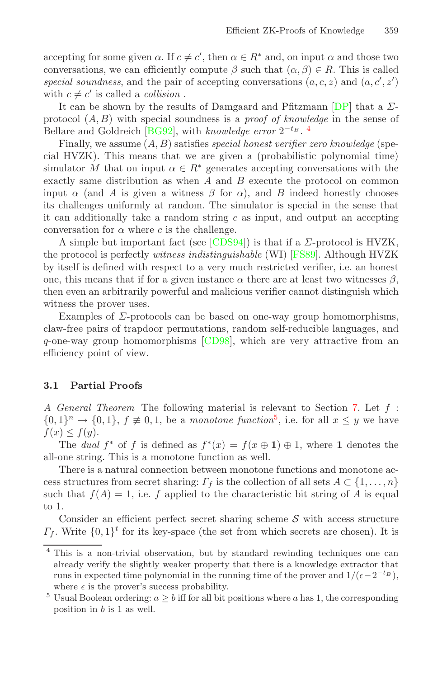<span id="page-5-2"></span>accepting for some given  $\alpha$ . If  $c \neq c'$ , then  $\alpha \in \mathbb{R}^*$  and, on input  $\alpha$  and those two conversations, we can efficiently compute  $\beta$  such that  $(\alpha, \beta) \in R$ . This is called special soundness, and the pair of accepting conversations  $(a, c, z)$  and  $(a, c', z')$ with  $c \neq c'$  is called a *collision*.

It can be shown by the results of Damgaard and Pfitzmann  $[DP]$  $[DP]$  that a  $\Sigma$ protocol  $(A, B)$  with special soundness is a *proof of knowledge* in the sense of Bellare and Goldreich [\[BG92\]](#page-14-5), with *knowledge error*  $2^{-t_B}$ . <sup>[4](#page-5-0)</sup>

Finally, we assume  $(A, B)$  satisfies special honest verifier zero knowledge (special HVZK). This means that we are given a (probabilistic polynomial time) simulator M that on input  $\alpha \in R^*$  generates accepting conversations with the exactly same distribution as when A and B execute the protocol on common input  $\alpha$  (and A is given a witness  $\beta$  for  $\alpha$ ), and B indeed honestly chooses its challenges uniformly at random. The simulator is special in the sense that it can additionally take a random string  $c$  as input, and output an accepting conversation for  $\alpha$  where c is the challenge.

A simple but important fact (see [\[CDS94\]](#page-14-3)) is that if a  $\Sigma$ -protocol is HVZK, the protocol is perfectly *witness indistinguishable* (WI) [\[FS89\]](#page-15-3). Although HVZK by itself is defined with respect to a very much restricted verifier, i.e. an honest one, this means that if for a given instance  $\alpha$  there are at least two witnesses  $\beta$ , then even an arbitrarily powerful and malicious verifier cannot distinguish which witness the prover uses.

Examples of  $\Sigma$ -protocols can be based on one-way group homomorphisms, claw-free pairs of trapdoor permutations, random self-reducible languages, and q-one-way group homomorphisms [\[CD98](#page-14-0)], which are very attractive from an efficiency point of view.

#### **3.1 Partial Proofs**

A General Theorem The following material is relevant to Section [7.](#page-12-0) Let f :  $\{0,1\}^n \to \{0,1\}, f \not\equiv 0,1$ , be a monotone function<sup>[5](#page-5-1)</sup>, i.e. for all  $x \leq y$  we have  $f(x) \leq f(y)$ .

The dual  $f^*$  of f is defined as  $f^*(x) = f(x \oplus 1) \oplus 1$ , where 1 denotes the all-one string. This is a monotone function as well.

There is a natural connection between monotone functions and monotone access structures from secret sharing:  $\Gamma_f$  is the collection of all sets  $A \subset \{1,\ldots,n\}$ such that  $f(A) = 1$ , i.e. f applied to the characteristic bit string of A is equal to 1.

Consider an efficient perfect secret sharing scheme  $S$  with access structure  $\Gamma_f$ . Write  $\{0,1\}^t$  for its key-space (the set from which secrets are chosen). It is

<span id="page-5-0"></span><sup>4</sup> This is a non-trivial observation, but by standard rewinding techniques one can already verify the slightly weaker property that there is a knowledge extractor that runs in expected time polynomial in the running time of the prover and  $1/(\epsilon - 2^{-t_B})$ , where  $\epsilon$  is the prover's success probability.

<span id="page-5-1"></span><sup>&</sup>lt;sup>5</sup> Usual Boolean ordering:  $a \geq b$  iff for all bit positions where a has 1, the corresponding position in b is 1 as well.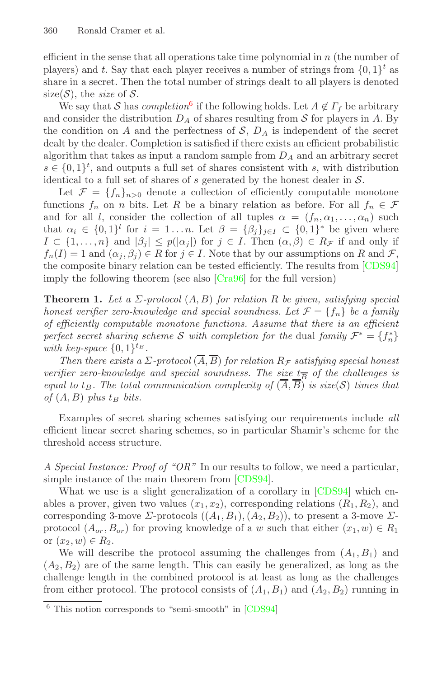efficient in the sense that all operations take time polynomial in  $n$  (the number of players) and t. Say that each player receives a number of strings from  $\{0,1\}^t$  as share in a secret. Then the total number of strings dealt to all players is denoted  $size(\mathcal{S})$ , the *size* of  $\mathcal{S}$ .

We say that S has *completion*<sup>[6](#page-6-0)</sup> if the following holds. Let  $A \notin \Gamma_f$  be arbitrary and consider the distribution  $D_A$  of shares resulting from S for players in A. By the condition on A and the perfectness of  $S$ ,  $D_A$  is independent of the secret dealt by the dealer. Completion is satisfied if there exists an efficient probabilistic algorithm that takes as input a random sample from  $D_A$  and an arbitrary secret  $s \in \{0,1\}^t$ , and outputs a full set of shares consistent with s, with distribution identical to a full set of shares of s generated by the honest dealer in  $S$ .

Let  $\mathcal{F} = \{f_n\}_{n>0}$  denote a collection of efficiently computable monotone functions  $f_n$  on n bits. Let R be a binary relation as before. For all  $f_n \in \mathcal{F}$ and for all l, consider the collection of all tuples  $\alpha = (f_n, \alpha_1, \ldots, \alpha_n)$  such that  $\alpha_i \in \{0,1\}^l$  for  $i = 1 \ldots n$ . Let  $\beta = \{\beta_j\}_{j \in I} \subset \{0,1\}^*$  be given where  $I \subset \{1,\ldots,n\}$  and  $|\beta_j| \leq p(|\alpha_j|)$  for  $j \in I$ . Then  $(\alpha,\beta) \in R_{\mathcal{F}}$  if and only if  $f_n(I) = 1$  and  $(\alpha_j, \beta_j) \in R$  for  $j \in I$ . Note that by our assumptions on R and F, the composite binary relation can be tested efficiently. The results from [\[CDS94\]](#page-14-3) imply the following theorem (see also [\[Cra96\]](#page-14-6) for the full version)

<span id="page-6-1"></span>**Theorem 1.** Let a  $\Sigma$ -protocol  $(A, B)$  for relation R be given, satisfying special honest verifier zero-knowledge and special soundness. Let  $\mathcal{F} = \{f_n\}$  be a family of efficiently computable monotone functions. Assume that there is an efficient perfect secret sharing scheme S with completion for the dual family  $\mathcal{F}^* = \{f_n^*\}$ with key-space  $\{0,1\}^{t_B}$ .

Then there exists a  $\Sigma$ -protocol  $(\overline{A}, \overline{B})$  for relation  $R_{\mathcal{F}}$  satisfying special honest verifier zero-knowledge and special soundness. The size  $t_{\overline{B}}$  of the challenges is equal to  $t_B$ . The total communication complexity of  $(\overline{A}, \overline{B})$  is size(S) times that of  $(A, B)$  plus  $t_B$  bits.

Examples of secret sharing schemes satisfying our requirements include all efficient linear secret sharing schemes, so in particular Shamir's scheme for the threshold access structure.

A Special Instance: Proof of "OR" In our results to follow, we need a particular, simple instance of the main theorem from [\[CDS94\]](#page-14-3).

What we use is a slight generalization of a corollary in  $[CDS94]$  which enables a prover, given two values  $(x_1, x_2)$ , corresponding relations  $(R_1, R_2)$ , and corresponding 3-move  $\Sigma$ -protocols  $((A_1, B_1), (A_2, B_2))$ , to present a 3-move  $\Sigma$ protocol  $(A_{or}, B_{or})$  for proving knowledge of a w such that either  $(x_1, w) \in R_1$ or  $(x_2, w) \in R_2$ .

We will describe the protocol assuming the challenges from  $(A_1, B_1)$  and  $(A_2, B_2)$  are of the same length. This can easily be generalized, as long as the challenge length in the combined protocol is at least as long as the challenges from either protocol. The protocol consists of  $(A_1, B_1)$  and  $(A_2, B_2)$  running in

<span id="page-6-0"></span> $6$  This notion corresponds to "semi-smooth" in [\[CDS94](#page-14-3)]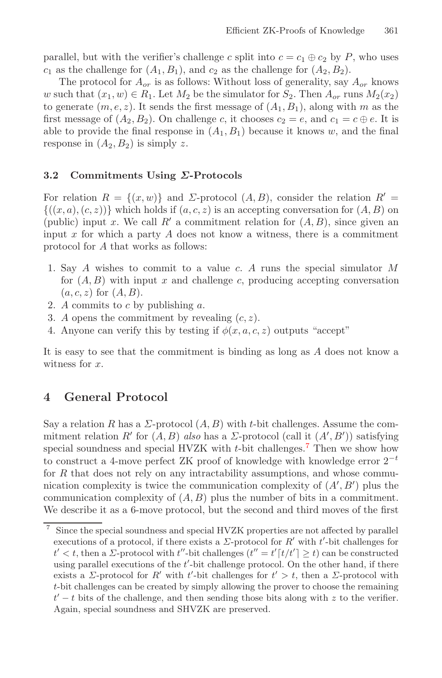<span id="page-7-2"></span>parallel, but with the verifier's challenge c split into  $c = c_1 \oplus c_2$  by P, who uses  $c_1$  as the challenge for  $(A_1, B_1)$ , and  $c_2$  as the challenge for  $(A_2, B_2)$ .

The protocol for  $A_{or}$  is as follows: Without loss of generality, say  $A_{or}$  knows w such that  $(x_1, w) \in R_1$ . Let  $M_2$  be the simulator for  $S_2$ . Then  $A_{or}$  runs  $M_2(x_2)$ to generate  $(m, e, z)$ . It sends the first message of  $(A_1, B_1)$ , along with m as the first message of  $(A_2, B_2)$ . On challenge c, it chooses  $c_2 = e$ , and  $c_1 = c \oplus e$ . It is able to provide the final response in  $(A_1, B_1)$  because it knows w, and the final response in  $(A_2, B_2)$  is simply z.

#### **3.2 Commitments Using** *Σ***-Protocols**

For relation  $R = \{(x, w)\}\$ and  $\Sigma$ -protocol  $(A, B)$ , consider the relation  $R' =$  $\{(x, a), (c, z)\}\$  which holds if  $(a, c, z)$  is an accepting conversation for  $(A, B)$  on (public) input x. We call R' a commitment relation for  $(A, B)$ , since given an input x for which a party A does not know a witness, there is a commitment protocol for A that works as follows:

- 1. Say A wishes to commit to a value c. A runs the special simulator M for  $(A, B)$  with input x and challenge c, producing accepting conversation  $(a, c, z)$  for  $(A, B)$ .
- 2. A commits to c by publishing  $a$ .
- 3. A opens the commitment by revealing  $(c, z)$ .
- 4. Anyone can verify this by testing if  $\phi(x, a, c, z)$  outputs "accept"

It is easy to see that the commitment is binding as long as A does not know a witness for x.

### <span id="page-7-0"></span>**4 General Protocol**

Say a relation R has a  $\Sigma$ -protocol  $(A, B)$  with t-bit challenges. Assume the commitment relation R' for  $(A, B)$  also has a  $\Sigma$ -protocol (call it  $(A', B')$ ) satisfying special soundness and special HVZK with t-bit challenges.<sup>[7](#page-7-1)</sup> Then we show how to construct a 4-move perfect ZK proof of knowledge with knowledge error  $2^{-t}$ for  $R$  that does not rely on any intractability assumptions, and whose communication complexity is twice the communication complexity of  $(A', B')$  plus the communication complexity of  $(A, B)$  plus the number of bits in a commitment. We describe it as a 6-move protocol, but the second and third moves of the first

<span id="page-7-1"></span><sup>7</sup> Since the special soundness and special HVZK properties are not affected by parallel executions of a protocol, if there exists a  $\Sigma$ -protocol for R' with t'-bit challenges for  $t' < t$ , then a  $\Sigma$ -protocol with  $t''$ -bit challenges  $(t'' = t'[t/t'] \ge t)$  can be constructed using parallel executions of the  $t'$ -bit challenge protocol. On the other hand, if there exists a  $\Sigma$ -protocol for R' with t'-bit challenges for  $t' > t$ , then a  $\Sigma$ -protocol with t-bit challenges can be created by simply allowing the prover to choose the remaining  $t' - t$  bits of the challenge, and then sending those bits along with z to the verifier. Again, special soundness and SHVZK are preserved.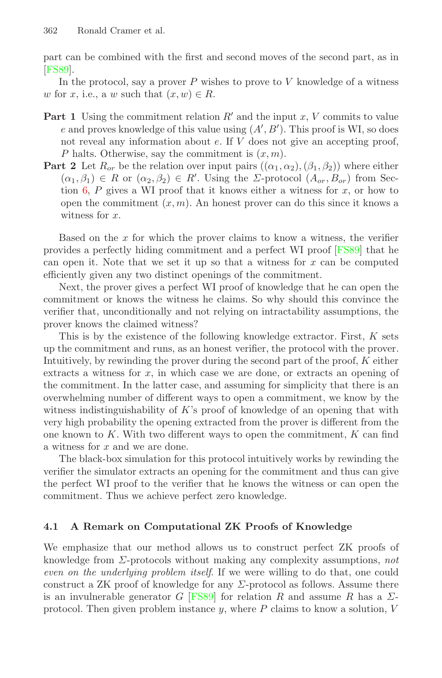<span id="page-8-0"></span>part can be combined with the first and second moves of the second part, as in [\[FS89\]](#page-15-3).

In the protocol, say a prover  $P$  wishes to prove to  $V$  knowledge of a witness w for x, i.e., a w such that  $(x, w) \in R$ .

- **Part 1** Using the commitment relation  $R'$  and the input x, V commits to value e and proves knowledge of this value using  $(A', B')$ . This proof is WI, so does not reveal any information about e. If V does not give an accepting proof, P halts. Otherwise, say the commitment is  $(x, m)$ .
- **Part 2** Let  $R_{or}$  be the relation over input pairs  $((\alpha_1, \alpha_2), (\beta_1, \beta_2))$  where either  $(\alpha_1, \beta_1) \in R$  or  $(\alpha_2, \beta_2) \in R'$ . Using the *Σ*-protocol  $(A_{or}, B_{or})$  from Section  $6, P$  $6, P$  gives a WI proof that it knows either a witness for x, or how to open the commitment  $(x, m)$ . An honest prover can do this since it knows a witness for  $x$ .

Based on the  $x$  for which the prover claims to know a witness, the verifier provides a perfectly hiding commitment and a perfect WI proof [\[FS89\]](#page-15-3) that he can open it. Note that we set it up so that a witness for  $x$  can be computed efficiently given any two distinct openings of the commitment.

Next, the prover gives a perfect WI proof of knowledge that he can open the commitment or knows the witness he claims. So why should this convince the verifier that, unconditionally and not relying on intractability assumptions, the prover knows the claimed witness?

This is by the existence of the following knowledge extractor. First, K sets up the commitment and runs, as an honest verifier, the protocol with the prover. Intuitively, by rewinding the prover during the second part of the proof,  $K$  either extracts a witness for  $x$ , in which case we are done, or extracts an opening of the commitment. In the latter case, and assuming for simplicity that there is an overwhelming number of different ways to open a commitment, we know by the witness indistinguishability of  $K$ 's proof of knowledge of an opening that with very high probability the opening extracted from the prover is different from the one known to  $K$ . With two different ways to open the commitment,  $K$  can find a witness for x and we are done.

The black-box simulation for this protocol intuitively works by rewinding the verifier the simulator extracts an opening for the commitment and thus can give the perfect WI proof to the verifier that he knows the witness or can open the commitment. Thus we achieve perfect zero knowledge.

#### **4.1 A Remark on Computational ZK Proofs of Knowledge**

We emphasize that our method allows us to construct perfect ZK proofs of knowledge from  $\Sigma$ -protocols without making any complexity assumptions, not even on the underlying problem itself. If we were willing to do that, one could construct a ZK proof of knowledge for any  $\Sigma$ -protocol as follows. Assume there is an invulnerable generator G [\[FS89](#page-15-3)] for relation R and assume R has a  $\Sigma$ protocol. Then given problem instance  $y$ , where  $P$  claims to know a solution,  $V$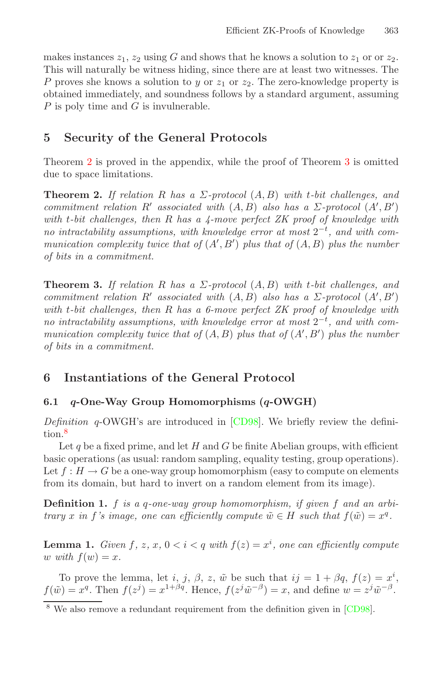<span id="page-9-5"></span>makes instances  $z_1$ ,  $z_2$  using G and shows that he knows a solution to  $z_1$  or or  $z_2$ . This will naturally be witness hiding, since there are at least two witnesses. The P proves she knows a solution to y or  $z_1$  or  $z_2$ . The zero-knowledge property is obtained immediately, and soundness follows by a standard argument, assuming  $P$  is poly time and  $G$  is invulnerable.

### <span id="page-9-0"></span>**5 Security of the General Protocols**

<span id="page-9-2"></span>Theorem [2](#page-9-2) is proved in the appendix, while the proof of Theorem [3](#page-9-3) is omitted due to space limitations.

**Theorem 2.** If relation R has a  $\Sigma$ -protocol  $(A, B)$  with t-bit challenges, and commitment relation R' associated with  $(A, B)$  also has a  $\Sigma$ -protocol  $(A', B')$ with t-bit challenges, then R has a 4-move perfect  $ZK$  proof of knowledge with no intractability assumptions, with knowledge error at most  $2^{-t}$ , and with communication complexity twice that of  $(A', B')$  plus that of  $(A, B)$  plus the number of bits in a commitment.

<span id="page-9-3"></span>**Theorem 3.** If relation R has a  $\Sigma$ -protocol  $(A, B)$  with t-bit challenges, and commitment relation R' associated with  $(A, B)$  also has a  $\Sigma$ -protocol  $(A', B')$ with t-bit challenges, then R has a 6-move perfect  $ZK$  proof of knowledge with no intractability assumptions, with knowledge error at most  $2^{-t}$ , and with communication complexity twice that of  $(A, B)$  plus that of  $(A', B')$  plus the number of bits in a commitment.

### <span id="page-9-1"></span>**6 Instantiations of the General Protocol**

#### **6.1** *q***-One-Way Group Homomorphisms (***q***-OWGH)**

Definition  $q$ -OWGH's are introduced in  $\lceil$ CD98 $\rceil$ . We briefly review the definition.[8](#page-9-4)

Let q be a fixed prime, and let  $H$  and  $G$  be finite Abelian groups, with efficient basic operations (as usual: random sampling, equality testing, group operations). Let  $f : H \to G$  be a one-way group homomorphism (easy to compute on elements from its domain, but hard to invert on a random element from its image).

**Definition 1.** f is a q-one-way group homomorphism, if given f and an arbitrary x in f's image, one can efficiently compute  $\tilde{w} \in H$  such that  $f(\tilde{w}) = x^q$ .

**Lemma 1.** Given  $f, z, x, 0 < i < q$  with  $f(z) = x^i$ , one can efficiently compute w with  $f(w) = x$ .

To prove the lemma, let i, j,  $\beta$ , z,  $\tilde{w}$  be such that  $ij = 1 + \beta q$ ,  $f(z) = x^i$ ,  $f(\tilde w) = x^q$ . Then  $f(z^j) = x^{1+\beta q}$ . Hence,  $f(z^j \tilde w^{-\beta}) = x$ , and define  $w = z^j \tilde w^{-\beta}$ .

<span id="page-9-4"></span><sup>8</sup> We also remove a redundant requirement from the definition given in [\[CD98\]](#page-14-0).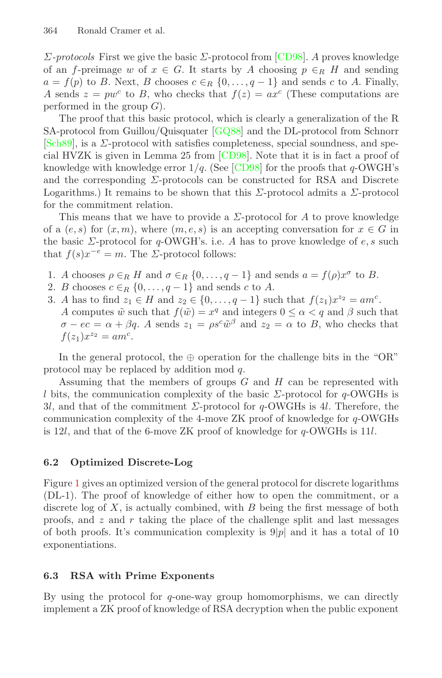$\Sigma$ -protocols First we give the basic  $\Sigma$ -protocol from [\[CD98\]](#page-14-0). A proves knowledge of an f-preimage w of  $x \in G$ . It starts by A choosing  $p \in_R H$  and sending  $a = f(p)$  to B. Next, B chooses  $c \in_R \{0, \ldots, q-1\}$  and sends c to A. Finally, A sends  $z = pw^c$  to B, who checks that  $f(z) = ax^c$  (These computations are performed in the group  $G$ ).

The proof that this basic protocol, which is clearly a generalization of the R SA-protocol from Guillou/Quisquater [\[GQ88\]](#page-15-1) and the DL-protocol from Schnorr  $[Sch89]$ , is a  $\Sigma$ -protocol with satisfies completeness, special soundness, and special HVZK is given in Lemma 25 from [\[CD98\]](#page-14-0). Note that it is in fact a proof of knowledge with knowledge error  $1/q$ . (See [\[CD98\]](#page-14-0) for the proofs that q-OWGH's and the corresponding  $\Sigma$ -protocols can be constructed for RSA and Discrete Logarithms.) It remains to be shown that this  $\Sigma$ -protocol admits a  $\Sigma$ -protocol for the commitment relation.

This means that we have to provide a  $\Sigma$ -protocol for A to prove knowledge of a  $(e, s)$  for  $(x, m)$ , where  $(m, e, s)$  is an accepting conversation for  $x \in G$  in the basic  $\Sigma$ -protocol for q-OWGH's. i.e. A has to prove knowledge of e, s such that  $f(s)x^{-e} = m$ . The *Σ*-protocol follows:

- 1. A chooses  $\rho \in_R H$  and  $\sigma \in_R \{0, \ldots, q-1\}$  and sends  $a = f(\rho)x^{\sigma}$  to B.
- 2. B chooses  $c \in_R \{0, \ldots, q-1\}$  and sends c to A.
- 3. A has to find  $z_1 \in H$  and  $z_2 \in \{0, ..., q-1\}$  such that  $f(z_1)x^{z_2} = am^c$ . A computes  $\tilde{w}$  such that  $f(\tilde{w}) = x^q$  and integers  $0 \leq \alpha < q$  and  $\beta$  such that  $\sigma - ec = \alpha + \beta q$ . A sends  $z_1 = \rho s^c \tilde{w}^{\beta}$  and  $z_2 = \alpha$  to B, who checks that  $f(z_1)x^{z_2} = am^c$ .

In the general protocol, the ⊕ operation for the challenge bits in the "OR" protocol may be replaced by addition mod q.

Assuming that the members of groups  $G$  and  $H$  can be represented with l bits, the communication complexity of the basic  $\Sigma$ -protocol for q-OWGHs is 3l, and that of the commitment  $\Sigma$ -protocol for q-OWGHs is 4l. Therefore, the communication complexity of the 4-move ZK proof of knowledge for  $q$ -OWGHs is 12l, and that of the 6-move ZK proof of knowledge for  $q$ -OWGHs is 11l.

### **6.2 Optimized Discrete-Log**

Figure [1](#page-11-0) gives an optimized version of the general protocol for discrete logarithms (DL-1). The proof of knowledge of either how to open the commitment, or a discrete log of  $X$ , is actually combined, with  $B$  being the first message of both proofs, and  $z$  and  $r$  taking the place of the challenge split and last messages of both proofs. It's communication complexity is  $9|p|$  and it has a total of 10 exponentiations.

### **6.3 RSA with Prime Exponents**

By using the protocol for  $q$ -one-way group homomorphisms, we can directly implement a ZK proof of knowledge of RSA decryption when the public exponent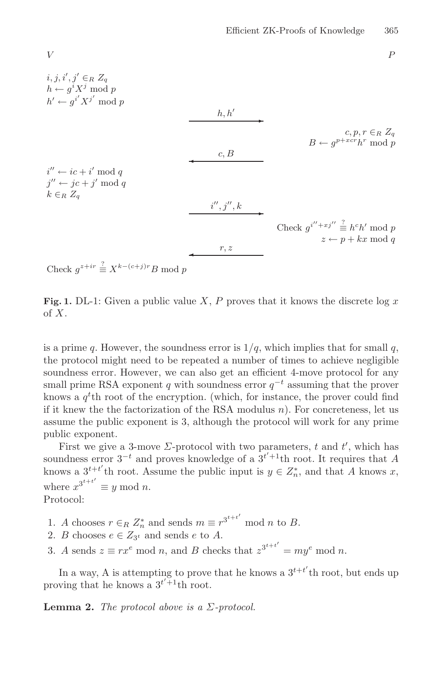

Check  $g^{z+ir} \stackrel{?}{\equiv} X^{k-(c+j)r}B \text{ mod } p$ 

<span id="page-11-0"></span>**Fig. 1.** DL-1: Given a public value  $X$ , P proves that it knows the discrete log x of  $X$ .

is a prime q. However, the soundness error is  $1/q$ , which implies that for small q, the protocol might need to be repeated a number of times to achieve negligible soundness error. However, we can also get an efficient 4-move protocol for any small prime RSA exponent q with soundness error  $q^{-t}$  assuming that the prover knows a  $q^t$ th root of the encryption. (which, for instance, the prover could find if it knew the the factorization of the RSA modulus  $n$ ). For concreteness, let us assume the public exponent is 3, although the protocol will work for any prime public exponent.

First we give a 3-move  $\Sigma$ -protocol with two parameters, t and t', which has soundness error  $3^{-t}$  and proves knowledge of a  $3^{t'+1}$ th root. It requires that A knows a  $3^{t+t'}$ th root. Assume the public input is  $y \in Z_n^*$ , and that A knows x, where  $x^{3^{t+t'}} \equiv y \bmod n$ .

Protocol:

- 1. A chooses  $r \in_R Z_n^*$  and sends  $m \equiv r^{3^{t+t'}} \mod n$  to B.
- 2. B chooses  $e \in Z_{3^t}$  and sends e to A.
- 3. A sends  $z \equiv rx^e \mod n$ , and B checks that  $z^{3^{t+t'}} = my^e \mod n$ .

In a way, A is attempting to prove that he knows a  $3^{t+t'}$  th root, but ends up proving that he knows a  $3^{t'+1}$ th root.

**Lemma 2.** The protocol above is a  $\Sigma$ -protocol.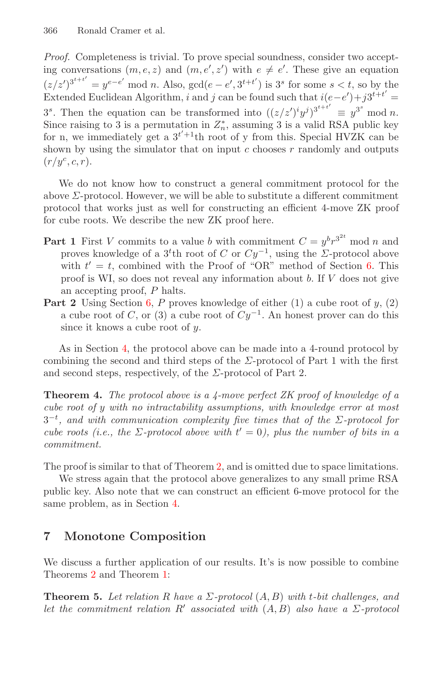<span id="page-12-2"></span>Proof. Completeness is trivial. To prove special soundness, consider two accepting conversations  $(m, e, z)$  and  $(m, e', z')$  with  $e \neq e'$ . These give an equation  $(z/z')^{3^{t+t'}} = y^{e-e'} \mod n$ . Also,  $gcd(e-e', 3^{t+t'})$  is  $3^s$  for some  $s < t$ , so by the Extended Euclidean Algorithm, i and j can be found such that  $i(e-e')+j3^{t+t'}=$ 3<sup>s</sup>. Then the equation can be transformed into  $((z/z')^i y^j)^{3^{t+t'}} \equiv y^{3^s} \mod n$ . Since raising to 3 is a permutation in  $Z_n^*$ , assuming 3 is a valid RSA public key for n, we immediately get a  $3^{t'+1}$ th root of y from this. Special HVZK can be shown by using the simulator that on input  $c$  chooses  $r$  randomly and outputs  $(r/y^c, c, r).$ 

We do not know how to construct a general commitment protocol for the above  $\Sigma$ -protocol. However, we will be able to substitute a different commitment protocol that works just as well for constructing an efficient 4-move ZK proof for cube roots. We describe the new ZK proof here.

- **Part 1** First V commits to a value b with commitment  $C = y^b r^{3^{2t}}$  mod n and proves knowledge of a  $3<sup>t</sup>$ th root of C or  $Cy^{-1}$ , using the ∑-protocol above with  $t' = t$ , combined with the Proof of "OR" method of Section [6](#page-6-1). This proof is WI, so does not reveal any information about b. If V does not give an accepting proof, P halts.
- **Part 2** Using Section [6,](#page-6-1) P proves knowledge of either (1) a cube root of y, (2) a cube root of C, or (3) a cube root of  $Cy^{-1}$ . An honest prover can do this since it knows a cube root of y.

As in Section [4](#page-7-0), the protocol above can be made into a 4-round protocol by combining the second and third steps of the  $\Sigma$ -protocol of Part 1 with the first and second steps, respectively, of the  $\Sigma$ -protocol of Part 2.

**Theorem 4.** The protocol above is a 4-move perfect ZK proof of knowledge of a cube root of y with no intractability assumptions, with knowledge error at most  $3^{-t}$ , and with communication complexity five times that of the  $\Sigma$ -protocol for cube roots (i.e., the  $\Sigma$ -protocol above with  $t' = 0$ ), plus the number of bits in a commitment.

The proof is similar to that of Theorem [2](#page-9-2), and is omitted due to space limitations.

We stress again that the protocol above generalizes to any small prime RSA public key. Also note that we can construct an efficient 6-move protocol for the same problem, as in Section [4.](#page-7-0)

## <span id="page-12-0"></span>**7 Monotone Composition**

<span id="page-12-1"></span>We discuss a further application of our results. It's is now possible to combine Theorems [2](#page-9-2) and Theorem [1:](#page-6-1)

**Theorem 5.** Let relation R have a  $\Sigma$ -protocol  $(A, B)$  with t-bit challenges, and let the commitment relation R' associated with  $(A, B)$  also have a  $\Sigma$ -protocol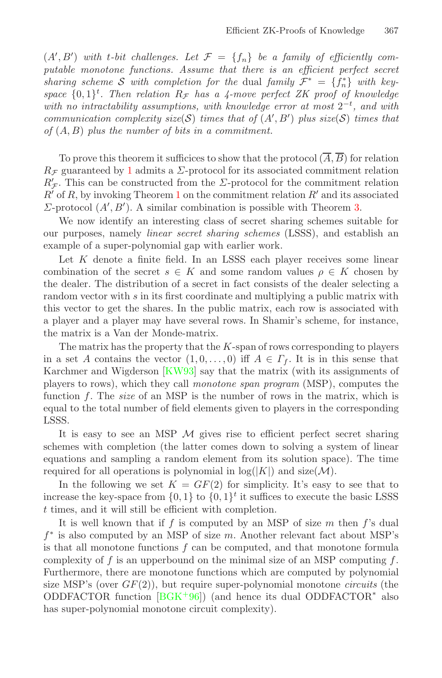<span id="page-13-0"></span> $(A', B')$  with t-bit challenges. Let  $\mathcal{F} = \{f_n\}$  be a family of efficiently computable monotone functions. Assume that there is an efficient perfect secret sharing scheme S with completion for the dual family  $\mathcal{F}^* = \{f_n^*\}\$  with keyspace  $\{0,1\}^t$ . Then relation  $R_{\mathcal{F}}$  has a 4-move perfect ZK proof of knowledge with no intractability assumptions, with knowledge error at most  $2^{-t}$ , and with communication complexity size(S) times that of  $(A', B')$  plus size(S) times that of  $(A, B)$  plus the number of bits in a commitment.

To prove this theorem it sufficices to show that the protocol  $(\overline{A}, \overline{B})$  for relation  $R_{\mathcal{F}}$  guaranteed by [1](#page-6-1) admits a  $\Sigma$ -protocol for its associated commitment relation  $R'_{\mathcal{F}}$ . This can be constructed from the  $\Sigma$ -protocol for the commitment relation  $R'$  of R, by invoking Theorem [1](#page-6-1) on the commitment relation  $R'$  and its associated  $\Sigma$ -protocol  $(A', B')$ . A similar combination is possible with Theorem [3](#page-9-3).

We now identify an interesting class of secret sharing schemes suitable for our purposes, namely linear secret sharing schemes (LSSS), and establish an example of a super-polynomial gap with earlier work.

Let  $K$  denote a finite field. In an LSSS each player receives some linear combination of the secret  $s \in K$  and some random values  $\rho \in K$  chosen by the dealer. The distribution of a secret in fact consists of the dealer selecting a random vector with s in its first coordinate and multiplying a public matrix with this vector to get the shares. In the public matrix, each row is associated with a player and a player may have several rows. In Shamir's scheme, for instance, the matrix is a Van der Monde-matrix.

The matrix has the property that the  $K$ -span of rows corresponding to players in a set A contains the vector  $(1, 0, \ldots, 0)$  iff  $A \in \Gamma_f$ . It is in this sense that Karchmer and Wigderson [\[KW93\]](#page-15-14) say that the matrix (with its assignments of players to rows), which they call monotone span program (MSP), computes the function  $f$ . The *size* of an MSP is the number of rows in the matrix, which is equal to the total number of field elements given to players in the corresponding LSSS.

It is easy to see an MSP  $M$  gives rise to efficient perfect secret sharing schemes with completion (the latter comes down to solving a system of linear equations and sampling a random element from its solution space). The time required for all operations is polynomial in  $log(|K|)$  and  $size(\mathcal{M})$ .

In the following we set  $K = GF(2)$  for simplicity. It's easy to see that to increase the key-space from  $\{0,1\}$  to  $\{0,1\}^t$  it suffices to execute the basic LSSS t times, and it will still be efficient with completion.

It is well known that if f is computed by an MSP of size  $m$  then f's dual  $f^*$  is also computed by an MSP of size m. Another relevant fact about MSP's is that all monotone functions  $f$  can be computed, and that monotone formula complexity of f is an upperbound on the minimal size of an MSP computing  $f$ . Furthermore, there are monotone functions which are computed by polynomial size MSP's (over  $GF(2)$ ), but require super-polynomial monotone *circuits* (the ODDFACTOR function [\[BGK](#page-14-7)<sup>+</sup>96]) (and hence its dual ODDFACTOR<sup>∗</sup> also has super-polynomial monotone circuit complexity).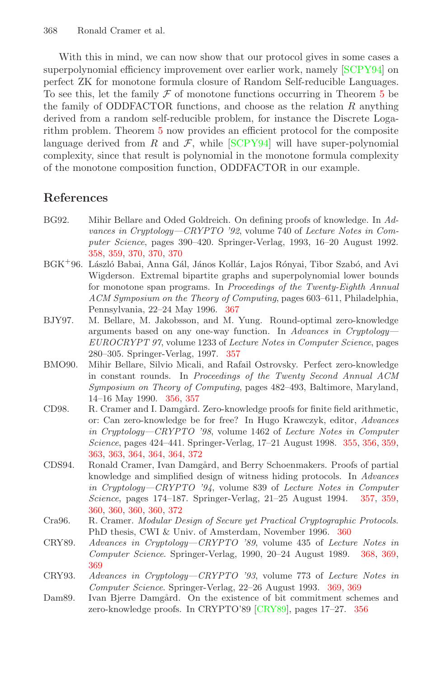<span id="page-14-8"></span>With this in mind, we can now show that our protocol gives in some cases a superpolynomial efficiency improvement over earlier work, namely [\[SCPY94](#page-15-8)] on perfect ZK for monotone formula closure of Random Self-reducible Languages. To see this, let the family  $\mathcal F$  of monotone functions occurring in Theorem [5](#page-12-1) be the family of ODDFACTOR functions, and choose as the relation  $R$  anything derived from a random self-reducible problem, for instance the Discrete Logarithm problem. Theorem [5](#page-12-1) now provides an efficient protocol for the composite language derived from R and  $\mathcal F$ , while [\[SCPY94\]](#page-15-8) will have super-polynomial complexity, since that result is polynomial in the monotone formula complexity of the monotone composition function, ODDFACTOR in our example.

## **References**

- <span id="page-14-5"></span>BG92. Mihir Bellare and Oded Goldreich. On defining proofs of knowledge. In Advances in Cryptology—CRYPTO '92, volume 740 of Lecture Notes in Computer Science, pages 390–420. Springer-Verlag, 1993, 16–20 August 1992. [358](#page-3-1), [359,](#page-4-1) [370,](#page-15-15) [370,](#page-15-15) [370](#page-15-15)
- <span id="page-14-7"></span>BGK<sup>+</sup>96. László Babai, Anna Gál, János Kollár, Lajos Rónyai, Tibor Szabó, and Avi Wigderson. Extremal bipartite graphs and superpolynomial lower bounds for monotone span programs. In Proceedings of the Twenty-Eighth Annual ACM Symposium on the Theory of Computing, pages 603–611, Philadelphia, Pennsylvania, 22–24 May 1996. [367](#page-12-2)
- <span id="page-14-4"></span>BJY97. M. Bellare, M. Jakobsson, and M. Yung. Round-optimal zero-knowledge arguments based on any one-way function. In Advances in Cryptology— EUROCRYPT 97, volume 1233 of Lecture Notes in Computer Science, pages 280–305. Springer-Verlag, 1997. [357](#page-2-2)
- <span id="page-14-2"></span>BMO90. Mihir Bellare, Silvio Micali, and Rafail Ostrovsky. Perfect zero-knowledge in constant rounds. In Proceedings of the Twenty Second Annual ACM Symposium on Theory of Computing, pages 482–493, Baltimore, Maryland, 14–16 May 1990. [356,](#page-1-0) [357](#page-2-2)
- <span id="page-14-0"></span>CD98. R. Cramer and I. Damgård. Zero-knowledge proofs for finite field arithmetic, or: Can zero-knowledge be for free? In Hugo Krawczyk, editor, Advances in Cryptology—CRYPTO '98, volume 1462 of Lecture Notes in Computer Science, pages 424–441. Springer-Verlag, 17–21 August 1998. [355](#page-0-0), [356,](#page-1-0) [359](#page-4-1), [363](#page-8-0), [363,](#page-8-0) [364,](#page-9-5) [364,](#page-9-5) [364](#page-9-5), [372](#page-17-0)
- <span id="page-14-3"></span>CDS94. Ronald Cramer, Ivan Damgård, and Berry Schoenmakers. Proofs of partial knowledge and simplified design of witness hiding protocols. In Advances in Cryptology—CRYPTO '94, volume 839 of Lecture Notes in Computer Science, pages 174–187. Springer-Verlag, 21–25 August 1994. [357,](#page-2-2) [359](#page-4-1), [360](#page-5-2), [360,](#page-5-2) [360,](#page-5-2) [360,](#page-5-2) [372](#page-17-0)
- <span id="page-14-6"></span>Cra96. R. Cramer. Modular Design of Secure yet Practical Cryptographic Protocols. PhD thesis, CWI & Univ. of Amsterdam, November 1996. [360](#page-5-2)
- <span id="page-14-9"></span>CRY89. Advances in Cryptology—CRYPTO '89, volume 435 of Lecture Notes in Computer Science. Springer-Verlag, 1990, 20–24 August 1989. [368,](#page-13-0) [369](#page-14-8), [369](#page-14-8)
- <span id="page-14-10"></span>CRY93. Advances in Cryptology—CRYPTO '93, volume 773 of Lecture Notes in Computer Science. Springer-Verlag, 22–26 August 1993. [369,](#page-14-8) [369](#page-14-8)
- <span id="page-14-1"></span>Dam89. Ivan Bjerre Damgård. On the existence of bit commitment schemes and zero-knowledge proofs. In CRYPTO'89 [\[CRY89\]](#page-14-9), pages 17–27. [356](#page-1-0)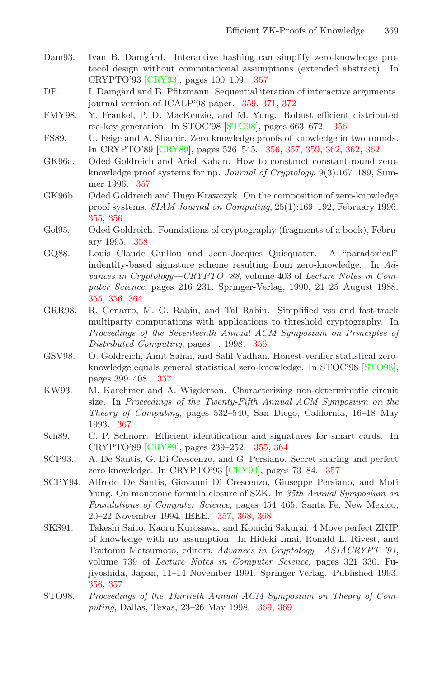- <span id="page-15-15"></span><span id="page-15-10"></span>Dam93. Ivan B. Damgård. Interactive hashing can simplify zero-knowledge protocol design without computational assumptions (extended abstract). In CRYPTO'93 [\[CRY93](#page-14-10)], pages 100–109. [357](#page-2-2)
- <span id="page-15-13"></span>DP. I. Damgård and B. Pfitzmann. Sequential iteration of interactive arguments. journal version of ICALP'98 paper. [359](#page-4-1), [371,](#page-16-0) [372](#page-17-0)
- <span id="page-15-5"></span>FMY98. Y. Frankel, P. D. MacKenzie, and M. Yung. Robust efficient distributed rsa-key generation. In STOC'98 [\[STO98\]](#page-15-16), pages 663–672. [356](#page-1-0)
- <span id="page-15-3"></span>FS89. U. Feige and A. Shamir. Zero knowledge proofs of knowledge in two rounds. In CRYPTO'89 [\[CRY89\]](#page-14-9), pages 526–545. [356,](#page-1-0) [357](#page-2-2), [359,](#page-4-1) [362,](#page-7-2) [362,](#page-7-2) [362](#page-7-2)
- <span id="page-15-9"></span>GK96a. Oded Goldreich and Ariel Kahan. How to construct constant-round zeroknowledge proof systems for np. Journal of Cryptology, 9(3):167–189, Summer 1996. [357](#page-2-2)
- <span id="page-15-2"></span>GK96b. Oded Goldreich and Hugo Krawczyk. On the composition of zero-knowledge proof systems. SIAM Journal on Computing, 25(1):169–192, February 1996. [355](#page-0-0), [356](#page-1-0)
- <span id="page-15-12"></span>Gol95. Oded Goldreich. Foundations of cryptography (fragments of a book), February 1995. [358](#page-3-1)
- <span id="page-15-1"></span>GQ88. Louis Claude Guillou and Jean-Jacques Quisquater. A "paradoxical" indentity-based signature scheme resulting from zero-knowledge. In Advances in Cryptology—CRYPTO '88, volume 403 of Lecture Notes in Computer Science, pages 216–231. Springer-Verlag, 1990, 21–25 August 1988. [355](#page-0-0), [356,](#page-1-0) [364](#page-9-5)
- <span id="page-15-4"></span>GRR98. R. Genarro, M. O. Rabin, and Tal Rabin. Simplified vss and fast-track multiparty computations with applications to threshold cryptography. In Proceedings of the Seventeenth Annual ACM Symposium on Principles of Distributed Computing, pages –, 1998. [356](#page-1-0)
- <span id="page-15-11"></span>GSV98. O. Goldreich, Amit Sahai, and Salil Vadhan. Honest-verifier statistical zeroknowledge equals general statistical zero-knowledge. In STOC'98 [\[STO98\]](#page-15-16), pages 399–408. [357](#page-2-2)
- <span id="page-15-14"></span>KW93. M. Karchmer and A. Wigderson. Characterizing non-deterministic circuit size. In Proceedings of the Twenty-Fifth Annual ACM Symposium on the Theory of Computing, pages 532–540, San Diego, California, 16–18 May 1993. [367](#page-12-2)
- <span id="page-15-0"></span>Sch89. C. P. Schnorr. Efficient identification and signatures for smart cards. In CRYPTO'89 [\[CRY89](#page-14-9)], pages 239–252. [355,](#page-0-0) [364](#page-9-5)
- <span id="page-15-7"></span>SCP93. A. De Santis, G. Di Crescenzo, and G. Persiano. Secret sharing and perfect zero knowledge. In CRYPTO'93 [\[CRY93\]](#page-14-10), pages 73–84. [357](#page-2-2)
- <span id="page-15-8"></span>SCPY94. Alfredo De Santis, Giovanni Di Crescenzo, Giuseppe Persiano, and Moti Yung. On monotone formula closure of SZK. In 35th Annual Symposium on Foundations of Computer Science, pages 454–465, Santa Fe, New Mexico, 20–22 November 1994. IEEE. [357,](#page-2-2) [368,](#page-13-0) [368](#page-13-0)
- <span id="page-15-6"></span>SKS91. Takeshi Saito, Kaoru Kurosawa, and Kouichi Sakurai. 4 Move perfect ZKIP of knowledge with no assumption. In Hideki Imai, Ronald L. Rivest, and Tsutomu Matsumoto, editors, Advances in Cryptology—ASIACRYPT '91, volume 739 of Lecture Notes in Computer Science, pages 321–330, Fujiyoshida, Japan, 11–14 November 1991. Springer-Verlag. Published 1993. [356](#page-1-0), [357](#page-2-2)
- <span id="page-15-16"></span>STO98. Proceedings of the Thirtieth Annual ACM Symposium on Theory of Computing, Dallas, Texas, 23–26 May 1998. [369,](#page-14-8) [369](#page-14-8)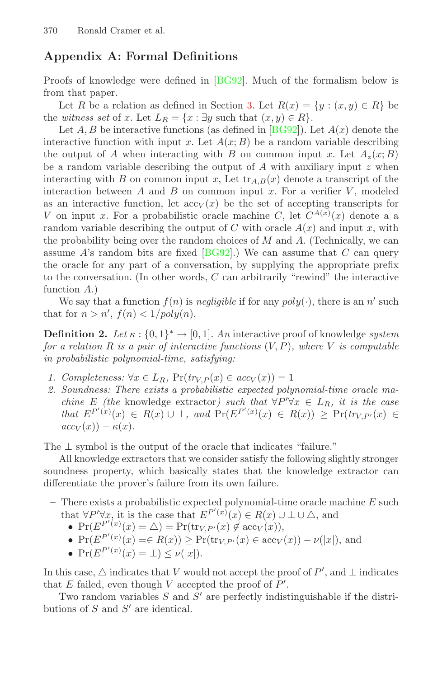## <span id="page-16-0"></span>**Appendix A: Formal Definitions**

Proofs of knowledge were defined in [\[BG92](#page-14-5)]. Much of the formalism below is from that paper.

Let R be a relation as defined in Section [3.](#page-4-0) Let  $R(x) = \{y : (x, y) \in R\}$  be the *witness set* of x. Let  $L_R = \{x : \exists y \text{ such that } (x, y) \in R\}.$ 

Let A, B be interactive functions (as defined in  $[\text{BG92}]$ ). Let  $A(x)$  denote the interactive function with input x. Let  $A(x;B)$  be a random variable describing the output of A when interacting with B on common input x. Let  $A_z(x;B)$ be a random variable describing the output of  $A$  with auxiliary input  $z$  when interacting with B on common input x, Let  $\text{tr}_{A,B}(x)$  denote a transcript of the interaction between  $A$  and  $B$  on common input  $x$ . For a verifier  $V$ , modeled as an interactive function, let  $acc_V(x)$  be the set of accepting transcripts for V on input x. For a probabilistic oracle machine C, let  $C^{A(x)}(x)$  denote a a random variable describing the output of C with oracle  $A(x)$  and input x, with the probability being over the random choices of  $M$  and  $A$ . (Technically, we can assume A's random bits are fixed  $[\text{BG92}]$ .) We can assume that C can query the oracle for any part of a conversation, by supplying the appropriate prefix to the conversation. (In other words,  $C$  can arbitrarily "rewind" the interactive function A.)

We say that a function  $f(n)$  is negligible if for any  $poly(\cdot)$ , there is an n' such that for  $n > n'$ ,  $f(n) < 1/poly(n)$ .

**Definition 2.** Let  $\kappa : \{0,1\}^* \to [0,1]$ . An interactive proof of knowledge system for a relation R is a pair of interactive functions  $(V, P)$ , where V is computable in probabilistic polynomial-time, satisfying:

- 1. Completeness:  $\forall x \in L_R$ ,  $\Pr(tr_{V,P}(x) \in acc_V(x)) = 1$
- 2. Soundness: There exists a probabilistic expected polynomial-time oracle ma*chine* E (the knowledge extractor) such that  $\forall P' \forall x \in L_R$ , it is the case that  $E^{P'(x)}(x) \in R(x) \cup \perp$ , and  $Pr(E^{P'(x)}(x) \in R(x)) \ge Pr(tr_{V,P'}(x) \in$  $acc_V(x)) - \kappa(x)$ .

The ⊥ symbol is the output of the oracle that indicates "failure."

All knowledge extractors that we consider satisfy the following slightly stronger soundness property, which basically states that the knowledge extractor can differentiate the prover's failure from its own failure.

- **–** There exists a probabilistic expected polynomial-time oracle machine E such that  $\forall P' \forall x$ , it is the case that  $E^{P'(x)}(x) \in R(x) \cup \bot \cup \triangle$ , and
	- $\Pr(E^{P'(x)}(x) = \triangle) = \Pr(\text{tr}_{V,P'}(x) \notin \text{acc}_V(x)),$
	- $Pr(E^{P'(x)}(x) = \in R(x)) \ge Pr(tr_{V,P'}(x) \in acc_V(x)) \nu(|x|)$ , and
	- $Pr(E^{P'(x)}(x) = \bot) \leq \nu(|x|).$

In this case,  $\triangle$  indicates that V would not accept the proof of  $P'$ , and  $\perp$  indicates that  $E$  failed, even though  $V$  accepted the proof of  $P'$ .

Two random variables  $S$  and  $S'$  are perfectly indistinguishable if the distributions of  $S$  and  $S'$  are identical.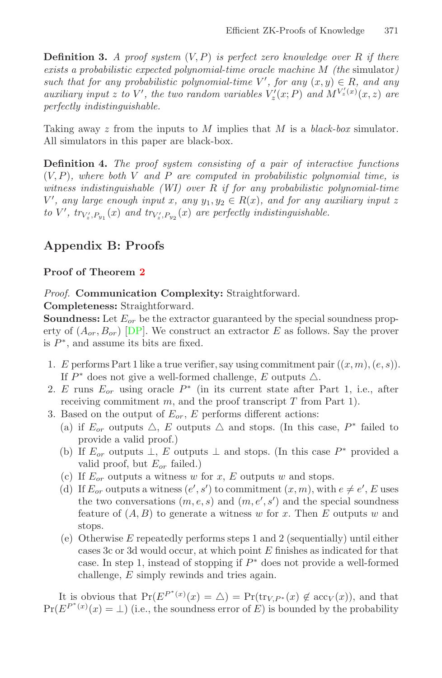<span id="page-17-0"></span>**Definition 3.** A proof system  $(V, P)$  is perfect zero knowledge over R if there exists a probabilistic expected polynomial-time oracle machine M (the simulator) such that for any probabilistic polynomial-time V', for any  $(x, y) \in R$ , and any auxiliary input z to V', the two random variables  $V'_z(x;P)$  and  $M^{V'_z(x)}(x,z)$  are perfectly indistinguishable.

Taking away z from the inputs to M implies that M is a black-box simulator. All simulators in this paper are black-box.

**Definition 4.** The proof system consisting of a pair of interactive functions  $(V, P)$ , where both V and P are computed in probabilistic polynomial time, is witness indistinguishable (WI) over R if for any probabilistic polynomial-time  $V'$ , any large enough input x, any  $y_1, y_2 \in R(x)$ , and for any auxiliary input z to V',  $\text{tr}_{V'_z, P_{y_1}}(x)$  and  $\text{tr}_{V'_z, P_{y_2}}(x)$  are perfectly indistinguishable.

## **Appendix B: Proofs**

#### **Proof of Theorem [2](#page-9-2)**

Proof. **Communication Complexity:** Straightforward.

**Completeness:** Straightforward.

**Soundness:** Let  $E_{or}$  be the extractor guaranteed by the special soundness property of  $(A_{or}, B_{or})$  [\[DP\]](#page-15-13). We construct an extractor E as follows. Say the prover is  $P^*$ , and assume its bits are fixed.

- 1. E performs Part 1 like a true verifier, say using commitment pair  $((x,m),(e,s))$ . If  $P^*$  does not give a well-formed challenge, E outputs  $\triangle$ .
- 2. E runs  $E_{or}$  using oracle  $P^*$  (in its current state after Part 1, i.e., after receiving commitment  $m$ , and the proof transcript  $T$  from Part 1).
- 3. Based on the output of  $E_{or}$ , E performs different actions:
	- (a) if  $E_{or}$  outputs  $\triangle$ , E outputs  $\triangle$  and stops. (In this case,  $P^*$  failed to provide a valid proof.)
	- (b) If  $E_{or}$  outputs  $\perp$ , E outputs  $\perp$  and stops. (In this case  $P^*$  provided a valid proof, but  $E_{or}$  failed.)
	- (c) If  $E_{or}$  outputs a witness w for x, E outputs w and stops.
	- (d) If  $E_{or}$  outputs a witness  $(e', s')$  to commitment  $(x, m)$ , with  $e \neq e'$ , E uses the two conversations  $(m, e, s)$  and  $(m, e', s')$  and the special soundness feature of  $(A, B)$  to generate a witness w for x. Then E outputs w and stops.
	- (e) Otherwise E repeatedly performs steps 1 and 2 (sequentially) until either cases 3c or 3d would occur, at which point E finishes as indicated for that case. In step 1, instead of stopping if  $P^*$  does not provide a well-formed challenge, E simply rewinds and tries again.

It is obvious that  $Pr(E^{P^*(x)}(x) = \triangle) = Pr(tr_{V,P^*}(x) \notin acc_V(x)),$  and that  $Pr(E^{P^*(x)}(x) = \bot)$  (i.e., the soundness error of E) is bounded by the probability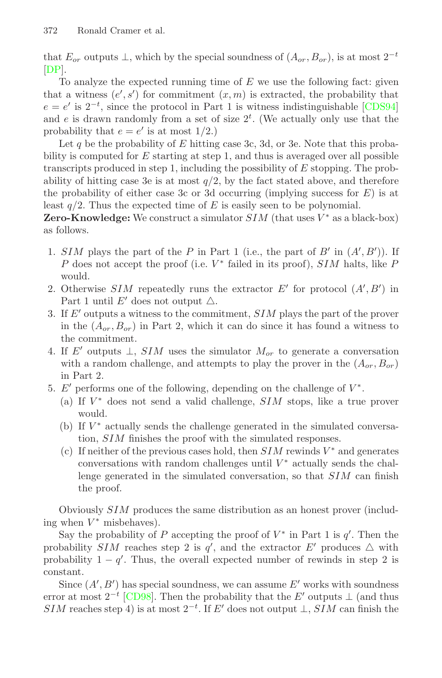<span id="page-18-0"></span>that  $E_{or}$  outputs  $\perp$ , which by the special soundness of  $(A_{or}, B_{or})$ , is at most  $2^{-t}$  $|DP|$ .

To analyze the expected running time of  $E$  we use the following fact: given that a witness  $(e', s')$  for commitment  $(x, m)$  is extracted, the probability that  $e = e'$  is  $2^{-t}$ , since the protocol in Part 1 is witness indistinguishable [\[CDS94\]](#page-14-3) and  $e$  is drawn randomly from a set of size  $2^t$ . (We actually only use that the probability that  $e = e'$  is at most  $1/2$ .)

Let q be the probability of E hitting case 3c, 3d, or 3e. Note that this probability is computed for  $E$  starting at step 1, and thus is averaged over all possible transcripts produced in step 1, including the possibility of E stopping. The probability of hitting case 3e is at most  $q/2$ , by the fact stated above, and therefore the probability of either case 3c or 3d occurring (implying success for  $E$ ) is at least  $q/2$ . Thus the expected time of E is easily seen to be polynomial.

**Zero-Knowledge:** We construct a simulator  $SIM$  (that uses  $V^*$  as a black-box) as follows.

- 1. SIM plays the part of the P in Part 1 (i.e., the part of B' in  $(A', B')$ ). If P does not accept the proof (i.e.  $V^*$  failed in its proof), SIM halts, like P would.
- 2. Otherwise SIM repeatedly runs the extractor  $E'$  for protocol  $(A', B')$  in Part 1 until  $E'$  does not output  $\triangle$ .
- 3. If  $E'$  outputs a witness to the commitment,  $SIM$  plays the part of the prover in the  $(A_{or}, B_{or})$  in Part 2, which it can do since it has found a witness to the commitment.
- 4. If E' outputs  $\perp$ , SIM uses the simulator  $M_{or}$  to generate a conversation with a random challenge, and attempts to play the prover in the  $(A_{or}, B_{or})$ in Part 2.
- 5. E' performs one of the following, depending on the challenge of  $V^*$ .
	- (a) If  $V^*$  does not send a valid challenge,  $SIM$  stops, like a true prover would.
	- (b) If  $V^*$  actually sends the challenge generated in the simulated conversation, SIM finishes the proof with the simulated responses.
	- (c) If neither of the previous cases hold, then  $SIM$  rewinds  $V^*$  and generates conversations with random challenges until  $V^*$  actually sends the challenge generated in the simulated conversation, so that SIM can finish the proof.

Obviously SIM produces the same distribution as an honest prover (including when  $V^*$  misbehaves).

Say the probability of P accepting the proof of  $V^*$  in Part 1 is  $q'$ . Then the probability SIM reaches step 2 is q', and the extractor E' produces  $\triangle$  with probability  $1 - q'$ . Thus, the overall expected number of rewinds in step 2 is constant.

Since  $(A', B')$  has special soundness, we can assume E' works with soundness error at most  $2^{-t}$  [\[CD98\]](#page-14-0). Then the probability that the E' outputs  $\perp$  (and thus SIM reaches step 4) is at most  $2^{-t}$ . If E' does not output  $\perp$ , SIM can finish the